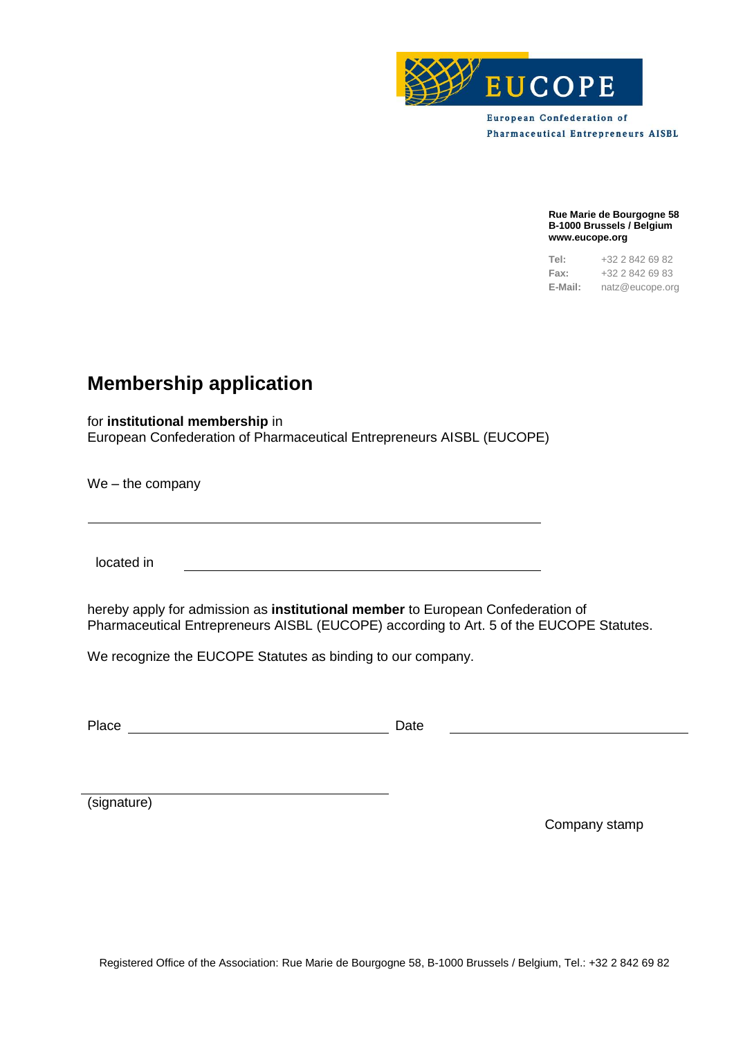

**European Confederation of Pharmaceutical Entrepreneurs AISBL** 

> **Rue Marie de Bourgogne 58 B-1000 Brussels / Belgium www.eucope.org**

> **Tel:** +32 2 842 69 82 **Fax:** +32 2 842 69 83 **E-Mail:** natz@eucope.org

## **Membership application**

for **institutional membership** in

European Confederation of Pharmaceutical Entrepreneurs AISBL (EUCOPE)

We – the company

located in

hereby apply for admission as **institutional member** to European Confederation of Pharmaceutical Entrepreneurs AISBL (EUCOPE) according to Art. 5 of the EUCOPE Statutes.

We recognize the EUCOPE Statutes as binding to our company.

Place Date Date Date

(signature)

Company stamp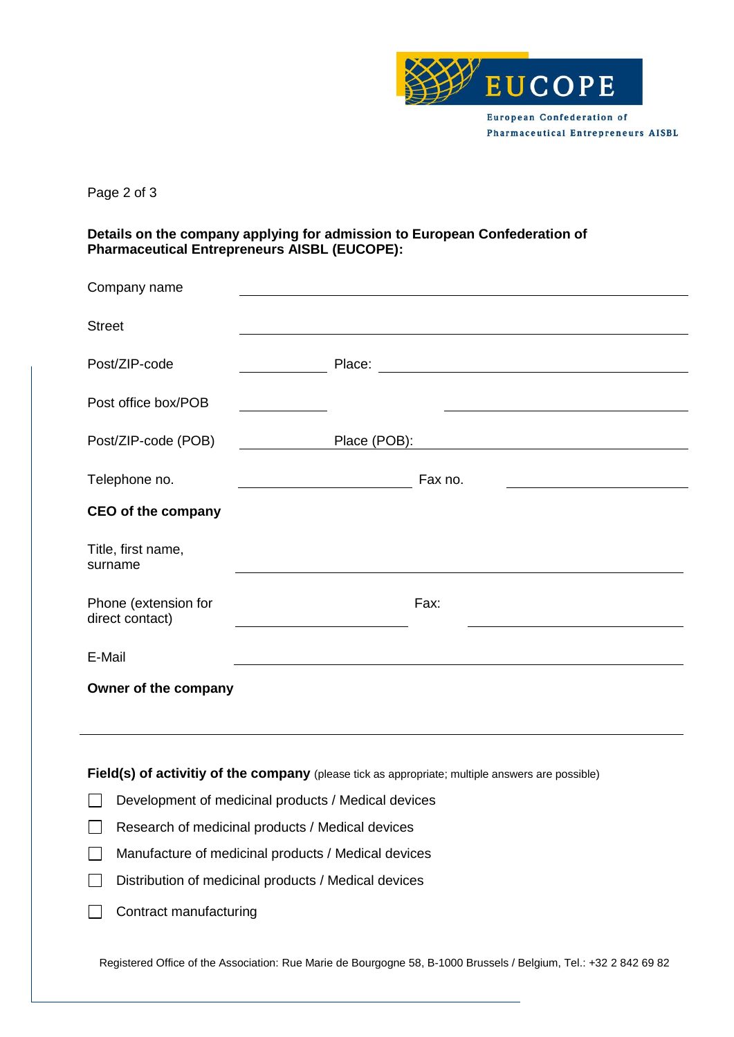

Page 2 of 3

**Details on the company applying for admission to European Confederation of Pharmaceutical Entrepreneurs AISBL (EUCOPE):**

| Company name                                                                                                                                                                                                                      |                                                                                                                                                                                                                                                               |  |
|-----------------------------------------------------------------------------------------------------------------------------------------------------------------------------------------------------------------------------------|---------------------------------------------------------------------------------------------------------------------------------------------------------------------------------------------------------------------------------------------------------------|--|
| <b>Street</b>                                                                                                                                                                                                                     |                                                                                                                                                                                                                                                               |  |
| Post/ZIP-code                                                                                                                                                                                                                     |                                                                                                                                                                                                                                                               |  |
| Post office box/POB                                                                                                                                                                                                               |                                                                                                                                                                                                                                                               |  |
| Post/ZIP-code (POB)                                                                                                                                                                                                               | Place (POB): Place (POB):                                                                                                                                                                                                                                     |  |
| Telephone no.                                                                                                                                                                                                                     | Fax no.                                                                                                                                                                                                                                                       |  |
| <b>CEO of the company</b>                                                                                                                                                                                                         |                                                                                                                                                                                                                                                               |  |
| Title, first name,<br>surname                                                                                                                                                                                                     |                                                                                                                                                                                                                                                               |  |
| Phone (extension for<br>direct contact)                                                                                                                                                                                           | Fax:                                                                                                                                                                                                                                                          |  |
| E-Mail                                                                                                                                                                                                                            |                                                                                                                                                                                                                                                               |  |
| Owner of the company                                                                                                                                                                                                              |                                                                                                                                                                                                                                                               |  |
|                                                                                                                                                                                                                                   |                                                                                                                                                                                                                                                               |  |
| $\mathbf{r}$ , and a set of the set of the set of the set of the set of the set of the set of the set of the set of the set of the set of the set of the set of the set of the set of the set of the set of the set of the set of | $\sim$ $\sim$ $\sim$ $\sim$<br>and the contract of the contract of the contract of the contract of the contract of the contract of the contract of the contract of the contract of the contract of the contract of the contract of the contract of the contra |  |

**Field(s) of activitiy of the company** (please tick as appropriate; multiple answers are possible)

- $\Box$  Development of medicinal products / Medical devices
- Research of medicinal products / Medical devices
- Manufacture of medicinal products / Medical devices
- $\Box$ Distribution of medicinal products / Medical devices
- $\Box$  Contract manufacturing

Registered Office of the Association: Rue Marie de Bourgogne 58, B-1000 Brussels / Belgium, Tel.: +32 2 842 69 82